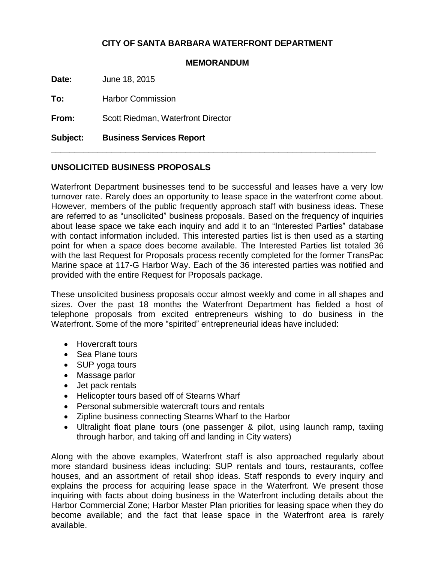### **CITY OF SANTA BARBARA WATERFRONT DEPARTMENT**

#### **MEMORANDUM**

\_\_\_\_\_\_\_\_\_\_\_\_\_\_\_\_\_\_\_\_\_\_\_\_\_\_\_\_\_\_\_\_\_\_\_\_\_\_\_\_\_\_\_\_\_\_\_\_\_\_\_\_\_\_\_\_\_\_\_\_\_\_\_\_\_\_\_\_\_\_

**Date:** June 18, 2015

**To:** Harbor Commission

**From:** Scott Riedman, Waterfront Director

**Subject: Business Services Report**

#### **UNSOLICITED BUSINESS PROPOSALS**

Waterfront Department businesses tend to be successful and leases have a very low turnover rate. Rarely does an opportunity to lease space in the waterfront come about. However, members of the public frequently approach staff with business ideas. These are referred to as "unsolicited" business proposals. Based on the frequency of inquiries about lease space we take each inquiry and add it to an "Interested Parties" database with contact information included. This interested parties list is then used as a starting point for when a space does become available. The Interested Parties list totaled 36 with the last Request for Proposals process recently completed for the former TransPac Marine space at 117-G Harbor Way. Each of the 36 interested parties was notified and provided with the entire Request for Proposals package.

These unsolicited business proposals occur almost weekly and come in all shapes and sizes. Over the past 18 months the Waterfront Department has fielded a host of telephone proposals from excited entrepreneurs wishing to do business in the Waterfront. Some of the more "spirited" entrepreneurial ideas have included:

- Hovercraft tours
- Sea Plane tours
- SUP yoga tours
- Massage parlor
- Jet pack rentals
- Helicopter tours based off of Stearns Wharf
- Personal submersible watercraft tours and rentals
- Zipline business connecting Stearns Wharf to the Harbor
- Ultralight float plane tours (one passenger & pilot, using launch ramp, taxiing through harbor, and taking off and landing in City waters)

Along with the above examples, Waterfront staff is also approached regularly about more standard business ideas including: SUP rentals and tours, restaurants, coffee houses, and an assortment of retail shop ideas. Staff responds to every inquiry and explains the process for acquiring lease space in the Waterfront. We present those inquiring with facts about doing business in the Waterfront including details about the Harbor Commercial Zone; Harbor Master Plan priorities for leasing space when they do become available; and the fact that lease space in the Waterfront area is rarely available.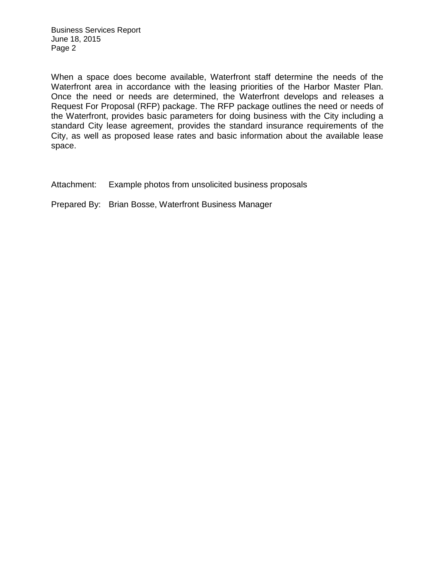When a space does become available, Waterfront staff determine the needs of the Waterfront area in accordance with the leasing priorities of the Harbor Master Plan. Once the need or needs are determined, the Waterfront develops and releases a Request For Proposal (RFP) package. The RFP package outlines the need or needs of the Waterfront, provides basic parameters for doing business with the City including a standard City lease agreement, provides the standard insurance requirements of the City, as well as proposed lease rates and basic information about the available lease space.

Attachment: Example photos from unsolicited business proposals

Prepared By: Brian Bosse, Waterfront Business Manager